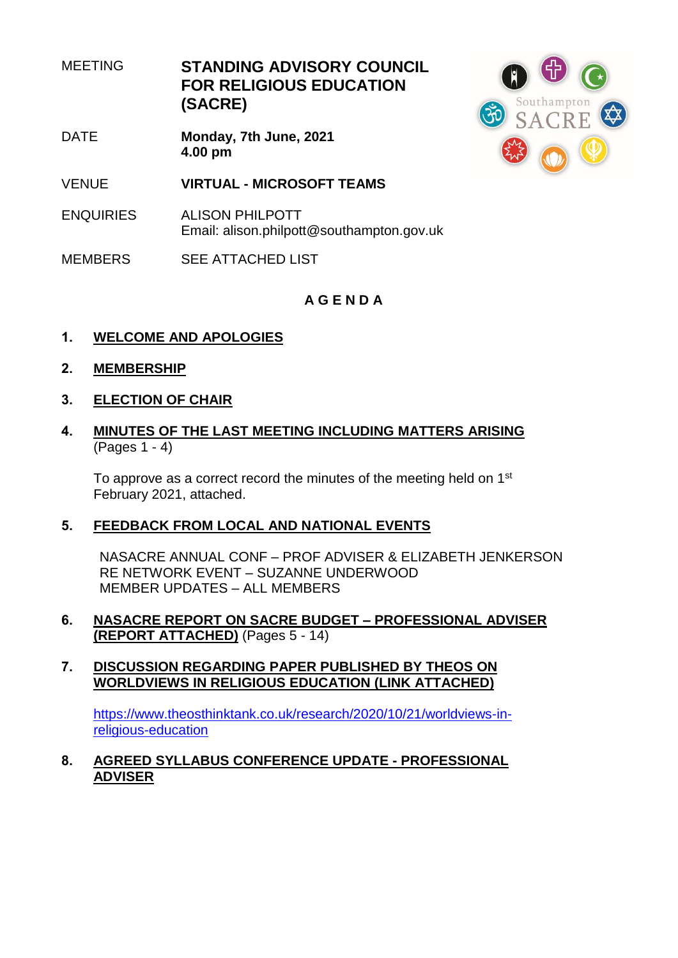MEETING **STANDING ADVISORY COUNCIL FOR RELIGIOUS EDUCATION (SACRE)**

- DATE **Monday, 7th June, 2021 4.00 pm**
- VENUE **VIRTUAL - MICROSOFT TEAMS**
- ENQUIRIES ALISON PHILPOTT Email: alison.philpott@southampton.gov.uk
- MEMBERS SEE ATTACHED LIST



# **A G E N D A**

- **1. WELCOME AND APOLOGIES**
- **2. MEMBERSHIP**
- **3. ELECTION OF CHAIR**
- **4. MINUTES OF THE LAST MEETING INCLUDING MATTERS ARISING** (Pages  $1 - 4$ )

To approve as a correct record the minutes of the meeting held on 1<sup>st</sup> February 2021, attached.

# **5. FEEDBACK FROM LOCAL AND NATIONAL EVENTS**

NASACRE ANNUAL CONF – PROF ADVISER & ELIZABETH JENKERSON RE NETWORK EVENT – SUZANNE UNDERWOOD MEMBER UPDATES – ALL MEMBERS

**6. NASACRE REPORT ON SACRE BUDGET – PROFESSIONAL ADVISER (REPORT ATTACHED)** (Pages 5 - 14)

#### **7. DISCUSSION REGARDING PAPER PUBLISHED BY THEOS ON WORLDVIEWS IN RELIGIOUS EDUCATION (LINK ATTACHED)**

[https://www.theosthinktank.co.uk/research/2020/10/21/worldviews-in](https://www.theosthinktank.co.uk/research/2020/10/21/worldviews-in-religious-education)[religious-education](https://www.theosthinktank.co.uk/research/2020/10/21/worldviews-in-religious-education)

**8. AGREED SYLLABUS CONFERENCE UPDATE - PROFESSIONAL ADVISER**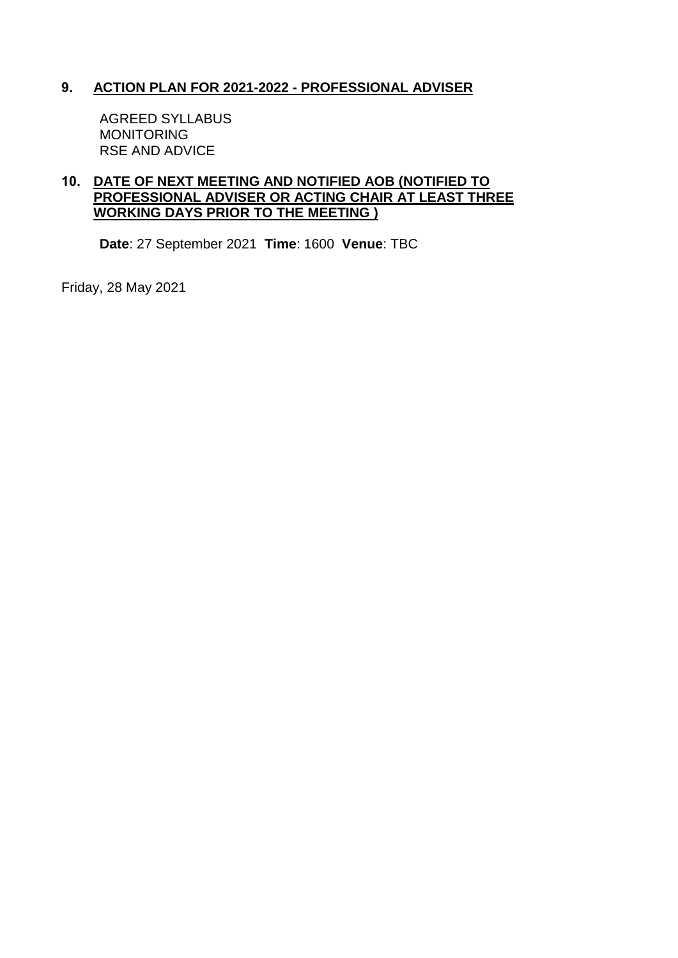# **9. ACTION PLAN FOR 2021-2022 - PROFESSIONAL ADVISER**

AGREED SYLLABUS MONITORING RSE AND ADVICE

#### **10. DATE OF NEXT MEETING AND NOTIFIED AOB (NOTIFIED TO PROFESSIONAL ADVISER OR ACTING CHAIR AT LEAST THREE WORKING DAYS PRIOR TO THE MEETING )**

**Date**: 27 September 2021 **Time**: 1600 **Venue**: TBC

Friday, 28 May 2021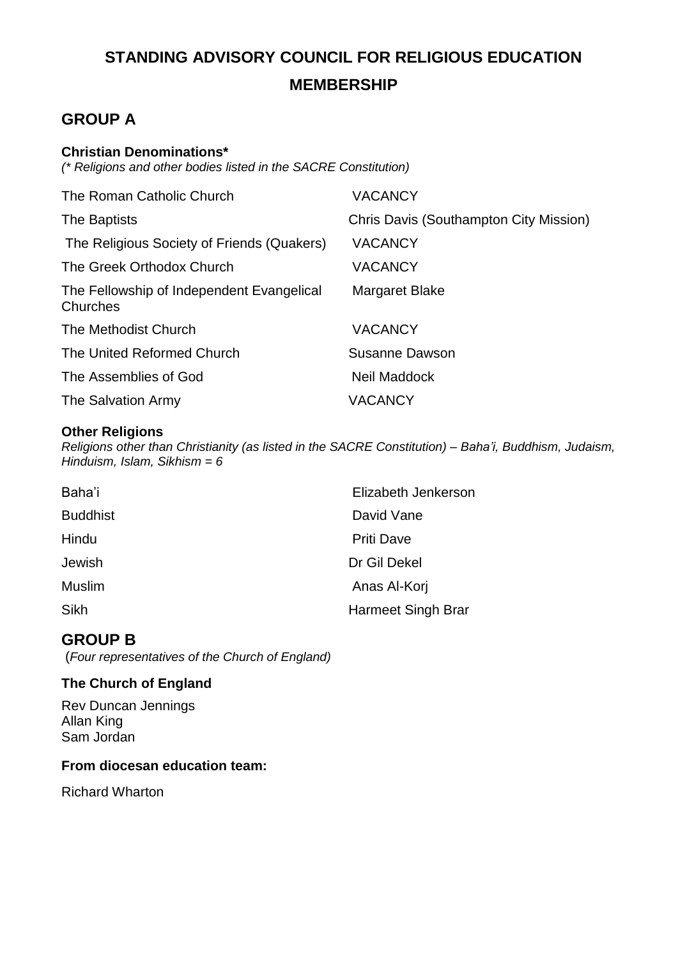# **STANDING ADVISORY COUNCIL FOR RELIGIOUS EDUCATION MEMBERSHIP**

# **GROUP A**

# **Christian Denominations\***

*(\* Religions and other bodies listed in the SACRE Constitution)*

| The Roman Catholic Church                             | <b>VACANCY</b>                         |
|-------------------------------------------------------|----------------------------------------|
| The Baptists                                          | Chris Davis (Southampton City Mission) |
| The Religious Society of Friends (Quakers)            | <b>VACANCY</b>                         |
| The Greek Orthodox Church                             | <b>VACANCY</b>                         |
| The Fellowship of Independent Evangelical<br>Churches | Margaret Blake                         |
| The Methodist Church                                  | <b>VACANCY</b>                         |
| The United Reformed Church                            | Susanne Dawson                         |
| The Assemblies of God                                 | Neil Maddock                           |
| The Salvation Army                                    | <b>VACANCY</b>                         |

#### **Other Religions**

*Religions other than Christianity (as listed in the SACRE Constitution) – Baha'i, Buddhism, Judaism, Hinduism, Islam, Sikhism = 6*

| Baha'i          | Elizabeth Jenkerson |
|-----------------|---------------------|
| <b>Buddhist</b> | David Vane          |
| Hindu           | <b>Priti Dave</b>   |
| Jewish          | Dr Gil Dekel        |
| Muslim          | Anas Al-Korj        |
| Sikh            | Harmeet Singh Brar  |

# **GROUP B**

(*Four representatives of the Church of England)*

# **The Church of England**

Rev Duncan Jennings Allan King Sam Jordan

# **From diocesan education team:**

Richard Wharton